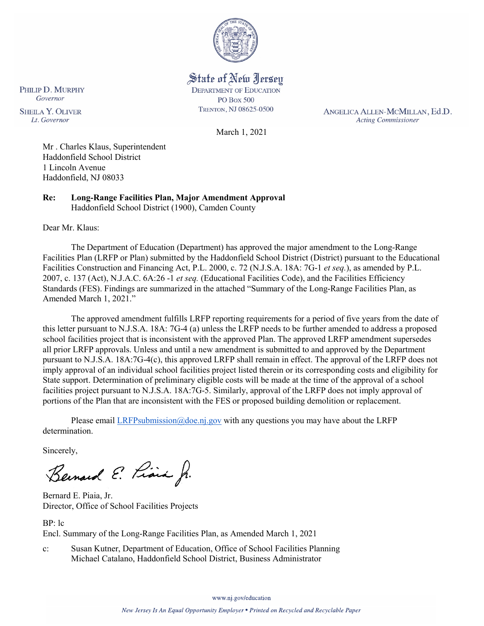

State of New Jersey **DEPARTMENT OF EDUCATION PO Box 500** TRENTON, NJ 08625-0500

ANGELICA ALLEN-MCMILLAN, Ed.D. **Acting Commissioner** 

March 1, 2021

Mr . Charles Klaus, Superintendent Haddonfield School District 1 Lincoln Avenue Haddonfield, NJ 08033

**Re: Long-Range Facilities Plan, Major Amendment Approval**  Haddonfield School District (1900), Camden County

Dear Mr. Klaus:

PHILIP D. MURPHY Governor

**SHEILA Y. OLIVER** 

Lt. Governor

The Department of Education (Department) has approved the major amendment to the Long-Range Facilities Plan (LRFP or Plan) submitted by the Haddonfield School District (District) pursuant to the Educational Facilities Construction and Financing Act, P.L. 2000, c. 72 (N.J.S.A. 18A: 7G-1 *et seq.*), as amended by P.L. 2007, c. 137 (Act), N.J.A.C. 6A:26 -1 *et seq.* (Educational Facilities Code), and the Facilities Efficiency Standards (FES). Findings are summarized in the attached "Summary of the Long-Range Facilities Plan, as Amended March 1, 2021."

The approved amendment fulfills LRFP reporting requirements for a period of five years from the date of this letter pursuant to N.J.S.A. 18A: 7G-4 (a) unless the LRFP needs to be further amended to address a proposed school facilities project that is inconsistent with the approved Plan. The approved LRFP amendment supersedes all prior LRFP approvals. Unless and until a new amendment is submitted to and approved by the Department pursuant to N.J.S.A. 18A:7G-4(c), this approved LRFP shall remain in effect. The approval of the LRFP does not imply approval of an individual school facilities project listed therein or its corresponding costs and eligibility for State support. Determination of preliminary eligible costs will be made at the time of the approval of a school facilities project pursuant to N.J.S.A. 18A:7G-5. Similarly, approval of the LRFP does not imply approval of portions of the Plan that are inconsistent with the FES or proposed building demolition or replacement.

Please email [LRFPsubmission@doe.nj.gov](mailto:LRFPsubmission@doe.nj.gov) with any questions you may have about the LRFP determination.

Sincerely,

Bernard E. Piais J.

Bernard E. Piaia, Jr. Director, Office of School Facilities Projects

BP: lc

Encl. Summary of the Long-Range Facilities Plan, as Amended March 1, 2021

c: Susan Kutner, Department of Education, Office of School Facilities Planning Michael Catalano, Haddonfield School District, Business Administrator

www.nj.gov/education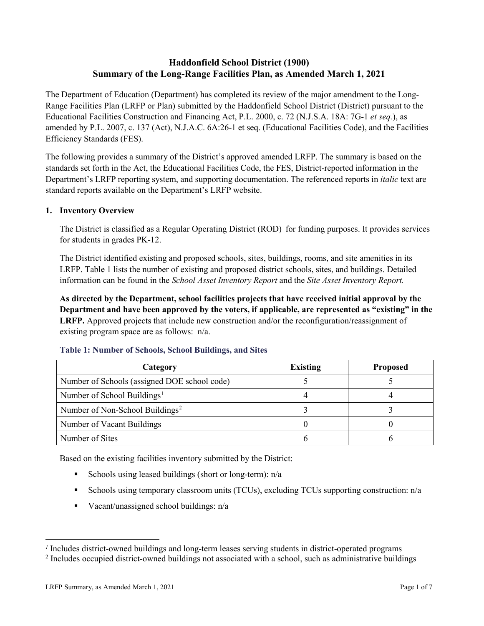# **Haddonfield School District (1900) Summary of the Long-Range Facilities Plan, as Amended March 1, 2021**

The Department of Education (Department) has completed its review of the major amendment to the Long-Range Facilities Plan (LRFP or Plan) submitted by the Haddonfield School District (District) pursuant to the Educational Facilities Construction and Financing Act, P.L. 2000, c. 72 (N.J.S.A. 18A: 7G-1 *et seq.*), as amended by P.L. 2007, c. 137 (Act), N.J.A.C. 6A:26-1 et seq. (Educational Facilities Code), and the Facilities Efficiency Standards (FES).

The following provides a summary of the District's approved amended LRFP. The summary is based on the standards set forth in the Act, the Educational Facilities Code, the FES, District-reported information in the Department's LRFP reporting system, and supporting documentation. The referenced reports in *italic* text are standard reports available on the Department's LRFP website.

# **1. Inventory Overview**

The District is classified as a Regular Operating District (ROD) for funding purposes. It provides services for students in grades PK-12.

The District identified existing and proposed schools, sites, buildings, rooms, and site amenities in its LRFP. Table 1 lists the number of existing and proposed district schools, sites, and buildings. Detailed information can be found in the *School Asset Inventory Report* and the *Site Asset Inventory Report.*

**As directed by the Department, school facilities projects that have received initial approval by the Department and have been approved by the voters, if applicable, are represented as "existing" in the LRFP.** Approved projects that include new construction and/or the reconfiguration/reassignment of existing program space are as follows: n/a.

| Category                                     | <b>Existing</b> | <b>Proposed</b> |
|----------------------------------------------|-----------------|-----------------|
| Number of Schools (assigned DOE school code) |                 |                 |
| Number of School Buildings <sup>1</sup>      |                 |                 |
| Number of Non-School Buildings <sup>2</sup>  |                 |                 |
| Number of Vacant Buildings                   |                 |                 |
| Number of Sites                              |                 |                 |

#### **Table 1: Number of Schools, School Buildings, and Sites**

Based on the existing facilities inventory submitted by the District:

- Schools using leased buildings (short or long-term):  $n/a$
- Schools using temporary classroom units (TCUs), excluding TCUs supporting construction: n/a
- Vacant/unassigned school buildings:  $n/a$

 $\overline{a}$ 

<span id="page-1-1"></span><span id="page-1-0"></span>*<sup>1</sup>* Includes district-owned buildings and long-term leases serving students in district-operated programs

<sup>&</sup>lt;sup>2</sup> Includes occupied district-owned buildings not associated with a school, such as administrative buildings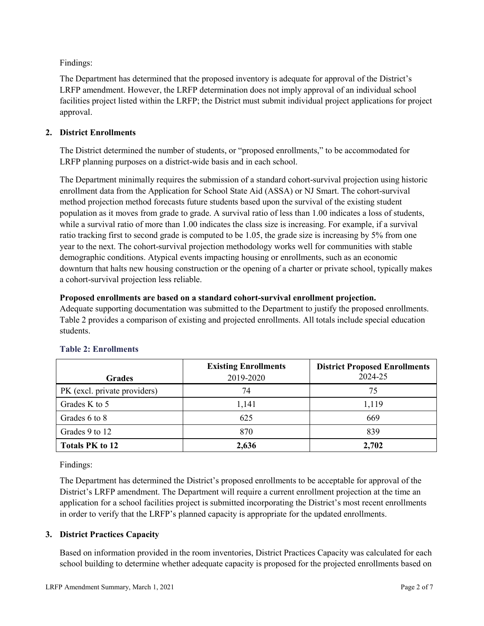Findings:

The Department has determined that the proposed inventory is adequate for approval of the District's LRFP amendment. However, the LRFP determination does not imply approval of an individual school facilities project listed within the LRFP; the District must submit individual project applications for project approval.

# **2. District Enrollments**

The District determined the number of students, or "proposed enrollments," to be accommodated for LRFP planning purposes on a district-wide basis and in each school.

The Department minimally requires the submission of a standard cohort-survival projection using historic enrollment data from the Application for School State Aid (ASSA) or NJ Smart. The cohort-survival method projection method forecasts future students based upon the survival of the existing student population as it moves from grade to grade. A survival ratio of less than 1.00 indicates a loss of students, while a survival ratio of more than 1.00 indicates the class size is increasing. For example, if a survival ratio tracking first to second grade is computed to be 1.05, the grade size is increasing by 5% from one year to the next. The cohort-survival projection methodology works well for communities with stable demographic conditions. Atypical events impacting housing or enrollments, such as an economic downturn that halts new housing construction or the opening of a charter or private school, typically makes a cohort-survival projection less reliable.

### **Proposed enrollments are based on a standard cohort-survival enrollment projection.**

Adequate supporting documentation was submitted to the Department to justify the proposed enrollments. Table 2 provides a comparison of existing and projected enrollments. All totals include special education students.

|                              | <b>Existing Enrollments</b> | <b>District Proposed Enrollments</b> |
|------------------------------|-----------------------------|--------------------------------------|
| <b>Grades</b>                | 2019-2020                   | 2024-25                              |
| PK (excl. private providers) | 74                          | 75                                   |
| Grades K to 5                | 1,141                       | 1,119                                |
| Grades 6 to 8                | 625                         | 669                                  |
| Grades 9 to 12               | 870                         | 839                                  |
| <b>Totals PK to 12</b>       | 2,636                       | 2,702                                |

# **Table 2: Enrollments**

Findings:

The Department has determined the District's proposed enrollments to be acceptable for approval of the District's LRFP amendment. The Department will require a current enrollment projection at the time an application for a school facilities project is submitted incorporating the District's most recent enrollments in order to verify that the LRFP's planned capacity is appropriate for the updated enrollments.

# **3. District Practices Capacity**

Based on information provided in the room inventories, District Practices Capacity was calculated for each school building to determine whether adequate capacity is proposed for the projected enrollments based on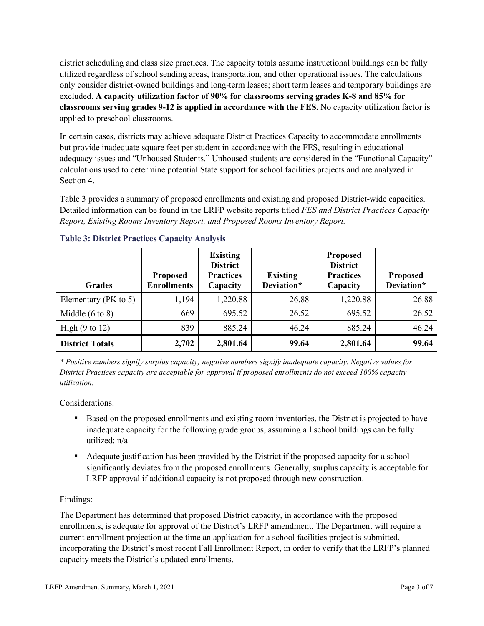district scheduling and class size practices. The capacity totals assume instructional buildings can be fully utilized regardless of school sending areas, transportation, and other operational issues. The calculations only consider district-owned buildings and long-term leases; short term leases and temporary buildings are excluded. **A capacity utilization factor of 90% for classrooms serving grades K-8 and 85% for classrooms serving grades 9-12 is applied in accordance with the FES.** No capacity utilization factor is applied to preschool classrooms.

In certain cases, districts may achieve adequate District Practices Capacity to accommodate enrollments but provide inadequate square feet per student in accordance with the FES, resulting in educational adequacy issues and "Unhoused Students." Unhoused students are considered in the "Functional Capacity" calculations used to determine potential State support for school facilities projects and are analyzed in Section 4.

Table 3 provides a summary of proposed enrollments and existing and proposed District-wide capacities. Detailed information can be found in the LRFP website reports titled *FES and District Practices Capacity Report, Existing Rooms Inventory Report, and Proposed Rooms Inventory Report.*

| <b>Grades</b>              | <b>Proposed</b><br><b>Enrollments</b> | <b>Existing</b><br><b>District</b><br><b>Practices</b><br>Capacity | <b>Existing</b><br>Deviation* | <b>Proposed</b><br><b>District</b><br><b>Practices</b><br>Capacity | <b>Proposed</b><br>Deviation* |
|----------------------------|---------------------------------------|--------------------------------------------------------------------|-------------------------------|--------------------------------------------------------------------|-------------------------------|
| Elementary ( $PK$ to 5)    | 1,194                                 | 1,220.88                                                           | 26.88                         | 1,220.88                                                           | 26.88                         |
| Middle $(6 \text{ to } 8)$ | 669                                   | 695.52                                                             | 26.52                         | 695.52                                                             | 26.52                         |
| High $(9 \text{ to } 12)$  | 839                                   | 885.24                                                             | 46.24                         | 885.24                                                             | 46.24                         |
| <b>District Totals</b>     | 2,702                                 | 2,801.64                                                           | 99.64                         | 2,801.64                                                           | 99.64                         |

# **Table 3: District Practices Capacity Analysis**

*\* Positive numbers signify surplus capacity; negative numbers signify inadequate capacity. Negative values for District Practices capacity are acceptable for approval if proposed enrollments do not exceed 100% capacity utilization.*

Considerations:

- Based on the proposed enrollments and existing room inventories, the District is projected to have inadequate capacity for the following grade groups, assuming all school buildings can be fully utilized: n/a
- Adequate justification has been provided by the District if the proposed capacity for a school significantly deviates from the proposed enrollments. Generally, surplus capacity is acceptable for LRFP approval if additional capacity is not proposed through new construction.

# Findings:

The Department has determined that proposed District capacity, in accordance with the proposed enrollments, is adequate for approval of the District's LRFP amendment. The Department will require a current enrollment projection at the time an application for a school facilities project is submitted, incorporating the District's most recent Fall Enrollment Report, in order to verify that the LRFP's planned capacity meets the District's updated enrollments.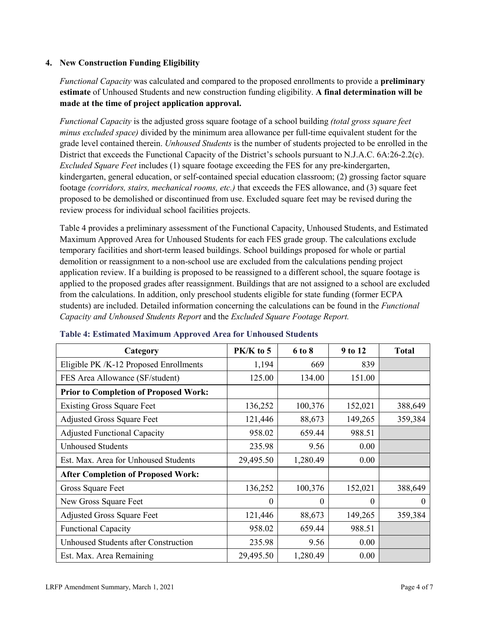### **4. New Construction Funding Eligibility**

*Functional Capacity* was calculated and compared to the proposed enrollments to provide a **preliminary estimate** of Unhoused Students and new construction funding eligibility. **A final determination will be made at the time of project application approval.**

*Functional Capacity* is the adjusted gross square footage of a school building *(total gross square feet minus excluded space)* divided by the minimum area allowance per full-time equivalent student for the grade level contained therein. *Unhoused Students* is the number of students projected to be enrolled in the District that exceeds the Functional Capacity of the District's schools pursuant to N.J.A.C. 6A:26-2.2(c). *Excluded Square Feet* includes (1) square footage exceeding the FES for any pre-kindergarten, kindergarten, general education, or self-contained special education classroom; (2) grossing factor square footage *(corridors, stairs, mechanical rooms, etc.)* that exceeds the FES allowance, and (3) square feet proposed to be demolished or discontinued from use. Excluded square feet may be revised during the review process for individual school facilities projects.

Table 4 provides a preliminary assessment of the Functional Capacity, Unhoused Students, and Estimated Maximum Approved Area for Unhoused Students for each FES grade group. The calculations exclude temporary facilities and short-term leased buildings. School buildings proposed for whole or partial demolition or reassignment to a non-school use are excluded from the calculations pending project application review. If a building is proposed to be reassigned to a different school, the square footage is applied to the proposed grades after reassignment. Buildings that are not assigned to a school are excluded from the calculations. In addition, only preschool students eligible for state funding (former ECPA students) are included. Detailed information concerning the calculations can be found in the *Functional Capacity and Unhoused Students Report* and the *Excluded Square Footage Report.*

| Category                                     | $PK/K$ to 5 | 6 to 8   | 9 to 12  | <b>Total</b> |
|----------------------------------------------|-------------|----------|----------|--------------|
| Eligible PK /K-12 Proposed Enrollments       | 1,194       | 669      | 839      |              |
| FES Area Allowance (SF/student)              | 125.00      | 134.00   | 151.00   |              |
| <b>Prior to Completion of Proposed Work:</b> |             |          |          |              |
| <b>Existing Gross Square Feet</b>            | 136,252     | 100,376  | 152,021  | 388,649      |
| <b>Adjusted Gross Square Feet</b>            | 121,446     | 88,673   | 149,265  | 359,384      |
| <b>Adjusted Functional Capacity</b>          | 958.02      | 659.44   | 988.51   |              |
| <b>Unhoused Students</b>                     | 235.98      | 9.56     | 0.00     |              |
| Est. Max. Area for Unhoused Students         | 29,495.50   | 1,280.49 | 0.00     |              |
| <b>After Completion of Proposed Work:</b>    |             |          |          |              |
| Gross Square Feet                            | 136,252     | 100,376  | 152,021  | 388,649      |
| New Gross Square Feet                        | $\theta$    | 0        | $\theta$ | $\Omega$     |
| <b>Adjusted Gross Square Feet</b>            | 121,446     | 88,673   | 149,265  | 359,384      |
| <b>Functional Capacity</b>                   | 958.02      | 659.44   | 988.51   |              |
| <b>Unhoused Students after Construction</b>  | 235.98      | 9.56     | 0.00     |              |
| Est. Max. Area Remaining                     | 29,495.50   | 1,280.49 | 0.00     |              |

#### **Table 4: Estimated Maximum Approved Area for Unhoused Students**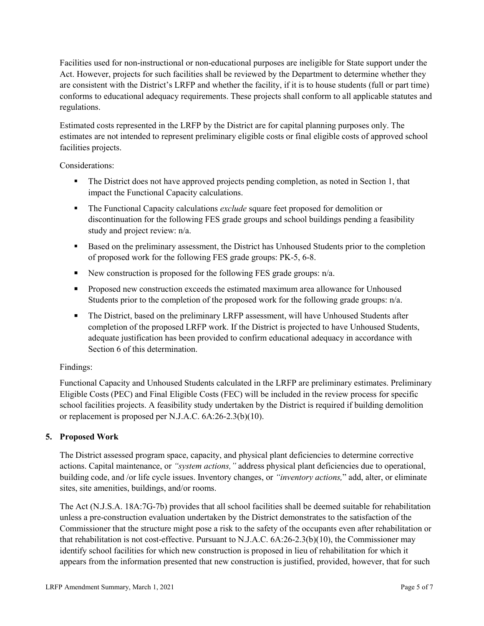Facilities used for non-instructional or non-educational purposes are ineligible for State support under the Act. However, projects for such facilities shall be reviewed by the Department to determine whether they are consistent with the District's LRFP and whether the facility, if it is to house students (full or part time) conforms to educational adequacy requirements. These projects shall conform to all applicable statutes and regulations.

Estimated costs represented in the LRFP by the District are for capital planning purposes only. The estimates are not intended to represent preliminary eligible costs or final eligible costs of approved school facilities projects.

Considerations:

- The District does not have approved projects pending completion, as noted in Section 1, that impact the Functional Capacity calculations.
- **The Functional Capacity calculations** *exclude* square feet proposed for demolition or discontinuation for the following FES grade groups and school buildings pending a feasibility study and project review: n/a.
- Based on the preliminary assessment, the District has Unhoused Students prior to the completion of proposed work for the following FES grade groups: PK-5, 6-8.
- New construction is proposed for the following FES grade groups: n/a.
- Proposed new construction exceeds the estimated maximum area allowance for Unhoused Students prior to the completion of the proposed work for the following grade groups: n/a.
- The District, based on the preliminary LRFP assessment, will have Unhoused Students after completion of the proposed LRFP work. If the District is projected to have Unhoused Students, adequate justification has been provided to confirm educational adequacy in accordance with Section 6 of this determination.

# Findings:

Functional Capacity and Unhoused Students calculated in the LRFP are preliminary estimates. Preliminary Eligible Costs (PEC) and Final Eligible Costs (FEC) will be included in the review process for specific school facilities projects. A feasibility study undertaken by the District is required if building demolition or replacement is proposed per N.J.A.C. 6A:26-2.3(b)(10).

# **5. Proposed Work**

The District assessed program space, capacity, and physical plant deficiencies to determine corrective actions. Capital maintenance, or *"system actions,"* address physical plant deficiencies due to operational, building code, and /or life cycle issues. Inventory changes, or *"inventory actions,*" add, alter, or eliminate sites, site amenities, buildings, and/or rooms.

The Act (N.J.S.A. 18A:7G-7b) provides that all school facilities shall be deemed suitable for rehabilitation unless a pre-construction evaluation undertaken by the District demonstrates to the satisfaction of the Commissioner that the structure might pose a risk to the safety of the occupants even after rehabilitation or that rehabilitation is not cost-effective. Pursuant to N.J.A.C. 6A:26-2.3(b)(10), the Commissioner may identify school facilities for which new construction is proposed in lieu of rehabilitation for which it appears from the information presented that new construction is justified, provided, however, that for such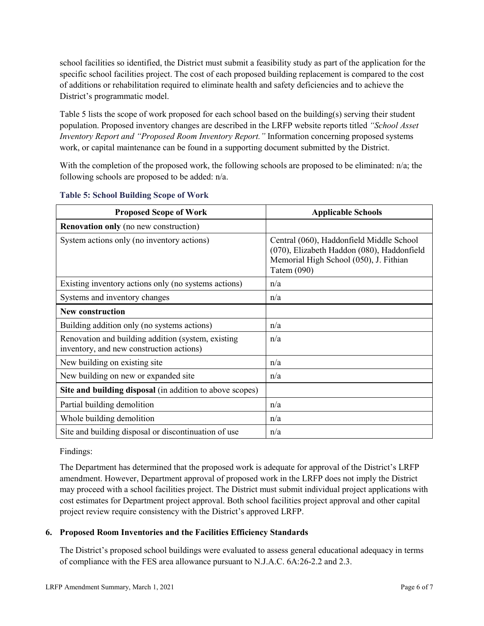school facilities so identified, the District must submit a feasibility study as part of the application for the specific school facilities project. The cost of each proposed building replacement is compared to the cost of additions or rehabilitation required to eliminate health and safety deficiencies and to achieve the District's programmatic model.

Table 5 lists the scope of work proposed for each school based on the building(s) serving their student population. Proposed inventory changes are described in the LRFP website reports titled *"School Asset Inventory Report and "Proposed Room Inventory Report."* Information concerning proposed systems work, or capital maintenance can be found in a supporting document submitted by the District.

With the completion of the proposed work, the following schools are proposed to be eliminated:  $n/a$ ; the following schools are proposed to be added: n/a.

| <b>Proposed Scope of Work</b>                                                                  | <b>Applicable Schools</b>                                                                                                                         |
|------------------------------------------------------------------------------------------------|---------------------------------------------------------------------------------------------------------------------------------------------------|
| <b>Renovation only</b> (no new construction)                                                   |                                                                                                                                                   |
| System actions only (no inventory actions)                                                     | Central (060), Haddonfield Middle School<br>(070), Elizabeth Haddon (080), Haddonfield<br>Memorial High School (050), J. Fithian<br>Tatem $(090)$ |
| Existing inventory actions only (no systems actions)                                           | n/a                                                                                                                                               |
| Systems and inventory changes                                                                  | n/a                                                                                                                                               |
| <b>New construction</b>                                                                        |                                                                                                                                                   |
| Building addition only (no systems actions)                                                    | n/a                                                                                                                                               |
| Renovation and building addition (system, existing<br>inventory, and new construction actions) | n/a                                                                                                                                               |
| New building on existing site                                                                  | n/a                                                                                                                                               |
| New building on new or expanded site                                                           | n/a                                                                                                                                               |
| Site and building disposal (in addition to above scopes)                                       |                                                                                                                                                   |
| Partial building demolition                                                                    | n/a                                                                                                                                               |
| Whole building demolition                                                                      | n/a                                                                                                                                               |
| Site and building disposal or discontinuation of use                                           | n/a                                                                                                                                               |

### **Table 5: School Building Scope of Work**

#### Findings:

The Department has determined that the proposed work is adequate for approval of the District's LRFP amendment. However, Department approval of proposed work in the LRFP does not imply the District may proceed with a school facilities project. The District must submit individual project applications with cost estimates for Department project approval. Both school facilities project approval and other capital project review require consistency with the District's approved LRFP.

# **6. Proposed Room Inventories and the Facilities Efficiency Standards**

The District's proposed school buildings were evaluated to assess general educational adequacy in terms of compliance with the FES area allowance pursuant to N.J.A.C. 6A:26-2.2 and 2.3.